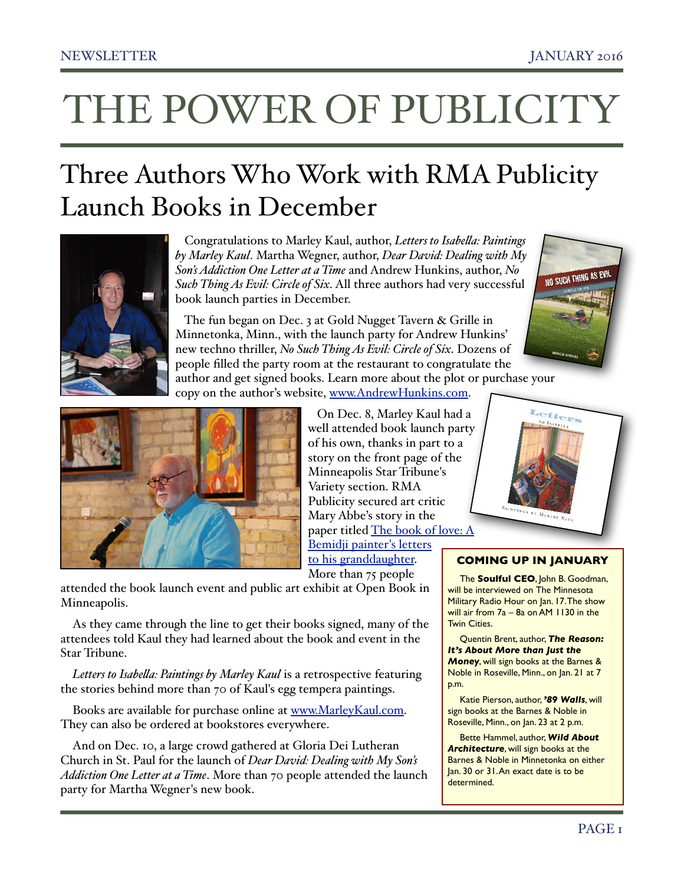# THE POWER OF PUBLICITY

### Three Authors Who Work with RMA Publicity Launch Books in December



 Congratulations to Marley Kaul, author, *Letters to Isabela: Paintings by Marley Kaul*. Martha Wegner, author, *Dear David: Dealing with My Son's Addiction One Letter at a Time* and Andrew Hunkins, author, *No Such Thing As Evil: Circle of Six*. All three authors had very successful book launch parties in December.

 The fun began on Dec. 3 at Gold Nugget Tavern & Grille in Minnetonka, Minn., with the launch party for Andrew Hunkins' new techno thriller, *No Such Thing As Evil: Circle of Six*. Dozens of people filled the party room at the restaurant to congratulate the

author and get signed books. Learn more about the plot or purchase your copy on the author's website, [www.AndrewHunkins.com](http://www.AndrewHunkins.com).



 On Dec. 8, Marley Kaul had a well attended book launch party of his own, thanks in part to a story on the front page of the Minneapolis Star Tribune's Variety section. RMA Publicity secured art critic Mary Abbe's story in the paper titled [The book of love: A](http://www.startribune.com/the-book-of-love-a-bemidji-painter-s-letters-to-his-granddaughter/360813641/)  [Bemidji painter's letters](http://www.startribune.com/the-book-of-love-a-bemidji-painter-s-letters-to-his-granddaughter/360813641/)  [to his granddaughter.](http://www.startribune.com/the-book-of-love-a-bemidji-painter-s-letters-to-his-granddaughter/360813641/)

More than 75 people

attended the book launch event and public art exhibit at Open Book in Minneapolis.

As they came through the line to get their books signed, many of the attendees told Kaul they had learned about the book and event in the Star Tribune.

*Letters to Isabela: Paintings by Marley Kaul* is a retrospective featuring the stories behind more than 70 of Kaul's egg tempera paintings.

Books are available for purchase online at [www.MarleyKaul.com.](http://www.MarleyKaul.com) They can also be ordered at bookstores everywhere.

And on Dec. 10, a large crowd gathered at Gloria Dei Lutheran Church in St. Paul for the launch of *Dear David: Dealing with My Son's Addiction One Letter at a Time*. More than 70 people attended the launch party for Martha Wegner's new book.





#### **COMING UP IN JANUARY**

The **Soulful CEO**, John B. Goodman, will be interviewed on The Minnesota Military Radio Hour on Jan. 17. The show will air from 7a – 8a on AM 1130 in the Twin Cities.

Quentin Brent, author, *The Reason: It's About More than Just the Money*, will sign books at the Barnes & Noble in Roseville, Minn., on Jan. 21 at 7 p.m.

Katie Pierson, author, *'89 Walls*, will sign books at the Barnes & Noble in Roseville, Minn., on Jan. 23 at 2 p.m.

Bette Hammel, author, *Wild About Architecture*, will sign books at the Barnes & Noble in Minnetonka on either Jan. 30 or 31. An exact date is to be determined.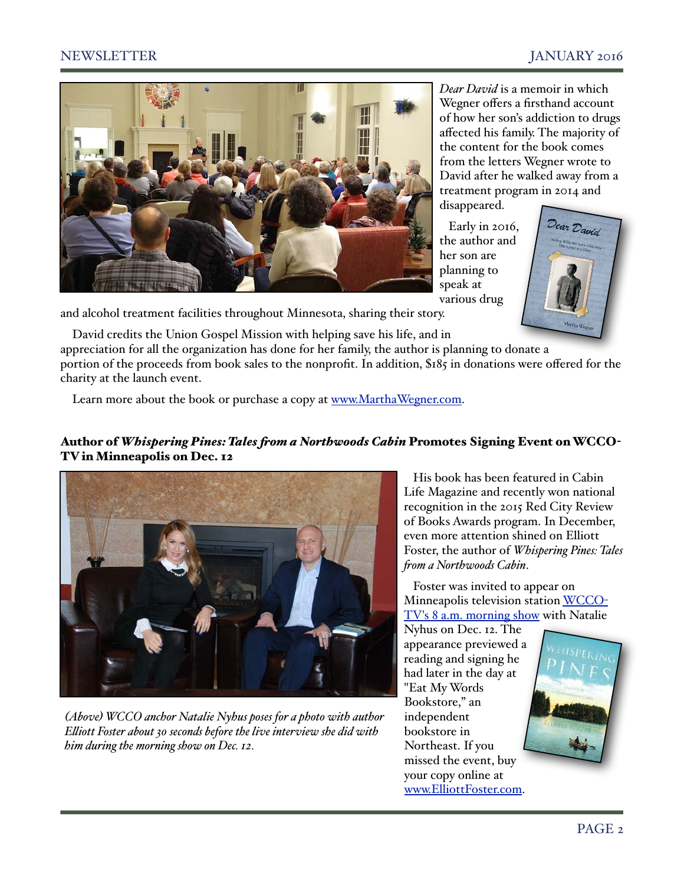### NEWSLETTER JANUARY 2016



*Dear David* is a memoir in which Wegner offers a firsthand account of how her son's addiction to drugs affected his family. The majority of the content for the book comes from the letters Wegner wrote to David after he walked away from a treatment program in 2014 and disappeared.

 Early in 2016, the author and her son are planning to speak at various drug



and alcohol treatment facilities throughout Minnesota, sharing their story.

David credits the Union Gospel Mission with helping save his life, and in appreciation for all the organization has done for her family, the author is planning to donate a portion of the proceeds from book sales to the nonprofit. In addition, \$185 in donations were offered for the charity at the launch event.

Learn more about the book or purchase a copy at [www.MarthaWegner.com.](http://www.MarthaWegner.com)

#### Author of *Whispering Pines: Tales fom a Northwoods Cabin* Promotes Signing Event on WCCO-TV in Minneapolis on Dec. 12



*(Above) WCCO anchor Natalie Nyhus poses for a photo with author Eliott Foster about 30 seconds before the live interview she did with him during the morning show on Dec. 12.* 

 His book has been featured in Cabin Life Magazine and recently won national recognition in the 2015 Red City Review of Books Awards program. In December, even more attention shined on Elliott Foster, the author of *Whispering Pines: Tales fom a Northwoods Cabin*.

 Foster was invited to appear on Minneapolis television station [WCCO](https://www.youtube.com/watch?v=N5DiUDJtj84)-[TV's 8 a.m. morning show](https://www.youtube.com/watch?v=N5DiUDJtj84) with Natalie

Nyhus on Dec. 12. The appearance previewed a reading and signing he had later in the day at "Eat My Words Bookstore," an independent bookstore in Northeast. If you missed the event, buy your copy online at [www.ElliottFoster.com.](http://www.ElliottFoster.com)

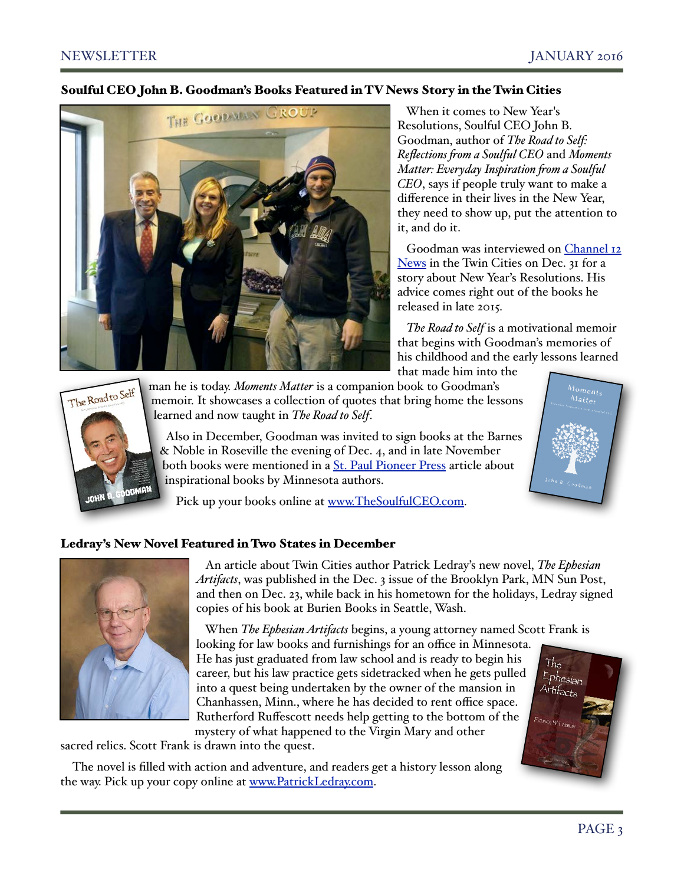#### Soulful CEO John B. Goodman's Books Featured in TV News Story in the Twin Cities



 When it comes to New Year's Resolutions, Soulful CEO John B. Goodman, author of *The Road to Self: Reflections fom a Soulful CEO* and *Moments Matter: Everyday Inspiration fom a Soulful CEO*, says if people truly want to make a difference in their lives in the New Year, they need to show up, put the attention to it, and do it.

Goodman was interviewed on Channel 12 [News](http://www.twelve.tv/news/newsitem.aspx?newsid=1479&newsitemid=29479) in the Twin Cities on Dec. 31 for a story about New Year's Resolutions. His advice comes right out of the books he released in late 2015.

 *The Road to Self* is a motivational memoir that begins with Goodman's memories of his childhood and the early lessons learned that made him into the



man he is today. *Moments Matter* is a companion book to Goodman's memoir. It showcases a collection of quotes that bring home the lessons learned and now taught in *The Road to Self*.

 Also in December, Goodman was invited to sign books at the Barnes & Noble in Roseville the evening of Dec. 4, and in late November both books were mentioned in a [St. Paul Pioneer Press](http://www.twincities.com/entertainment/ci_29140389/6-minnesota-writers-provide-inspiration-through-words-of-wisdom) article about inspirational books by Minnesota authors.

Pick up your books online at [www.TheSoulfulCEO.com.](http://www.TheSoulfulCEO.com)

#### Ledray's New Novel Featured in Two States in December



 An article about Twin Cities author Patrick Ledray's new novel, *The Ephesian Artifacts*, was published in the Dec. 3 issue of the Brooklyn Park, MN Sun Post, and then on Dec. 23, while back in his hometown for the holidays, Ledray signed copies of his book at Burien Books in Seattle, Wash.

 When *The Ephesian Artifacts* begins, a young attorney named Scott Frank is looking for law books and furnishings for an office in Minnesota. He has just graduated from law school and is ready to begin his  $Th_e$ career, but his law practice gets sidetracked when he gets pulled into a quest being undertaken by the owner of the mansion in Chanhassen, Minn., where he has decided to rent office space. Rutherford Ruffescott needs help getting to the bottom of the mystery of what happened to the Virgin Mary and other

sacred relics. Scott Frank is drawn into the quest.

The novel is filled with action and adventure, and readers get a history lesson along the way. Pick up your copy online at [www.PatrickLedray.com.](http://www.PatrickLedray.com)



<sup>Vio</sup>ments<br>Matter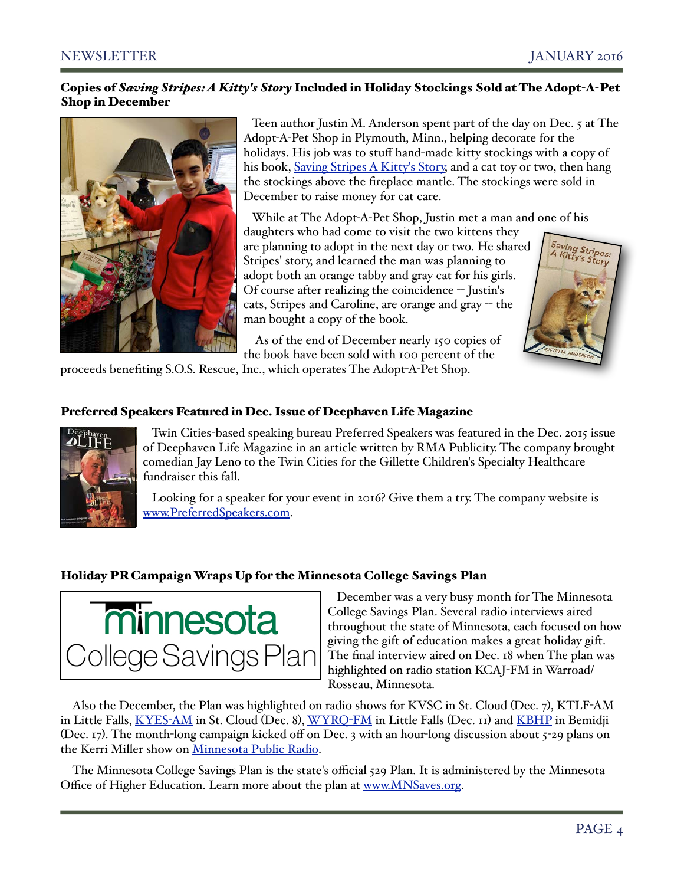#### Copies of *Saving Stripes: A Kitty's Story* Included in Holiday Stockings Sold at The Adopt-A-Pet Shop in December



 Teen author Justin M. Anderson spent part of the day on Dec. 5 at The Adopt-A-Pet Shop in Plymouth, Minn., helping decorate for the holidays. His job was to stuff hand-made kitty stockings with a copy of his book, [Saving Stripes A Kitty's Story,](https://www.createspace.com/4931704) and a cat toy or two, then hang the stockings above the fireplace mantle. The stockings were sold in December to raise money for cat care.

While at The Adopt-A-Pet Shop, Justin met a man and one of his

daughters who had come to visit the two kittens they are planning to adopt in the next day or two. He shared Stripes' story, and learned the man was planning to adopt both an orange tabby and gray cat for his girls. Of course after realizing the coincidence -- Justin's cats, Stripes and Caroline, are orange and gray -- the man bought a copy of the book.



 As of the end of December nearly 150 copies of the book have been sold with 100 percent of the

proceeds benefiting S.O.S. Rescue, Inc., which operates The Adopt-A-Pet Shop.

### Preferred Speakers Featured in Dec. Issue of Deephaven Life Magazine



 Twin Cities-based speaking bureau Preferred Speakers was featured in the Dec. 2015 issue of Deephaven Life Magazine in an article written by RMA Publicity. The company brought comedian Jay Leno to the Twin Cities for the Gillette Children's Specialty Healthcare fundraiser this fall.

 Looking for a speaker for your event in 2016? Give them a try. The company website is [www.PreferredSpeakers.com.](http://www.PreferredSpeakers.com)

#### Holiday PR Campaign Wraps Up for the Minnesota College Savings Plan



 December was a very busy month for The Minnesota College Savings Plan. Several radio interviews aired throughout the state of Minnesota, each focused on how giving the gift of education makes a great holiday gift. The final interview aired on Dec. 18 when The plan was highlighted on radio station KCAJ-FM in Warroad/ Rosseau, Minnesota.

Also the December, the Plan was highlighted on radio shows for KVSC in St. Cloud (Dec. 7), KTLF-AM in Little Falls, [KYES](http://www.rmapublicity.com/images/stories/Audio/TIAA%20CREF%20-%20MN%20College%20Savings%20Plan%20-%20KYES%20Radio,%20Saint%20Cloud%20-%20December%209,%202015.mp3)-AM in St. Cloud (Dec. 8), [WYRQ](http://www.rmapublicity.com/images/stories/Audio/TIAA%20CREF%20-%20MN%20College%20Savings%20Plan%20-%20WYRQ%20Radio,%20Little%20Falls%20-%20December%2011,%202015.MP3)-FM in Little Falls (Dec. 11) and [KBHP](http://www.rmapublicity.com/images/stories/Audio/TIAA%20CREF%20-%20MN%20College%20Savings%20Plan%20-%20KBHP%20Radio,%20Bemidji%20-%20December%2017,%202015.mp3) in Bemidji (Dec. 17). The month-long campaign kicked off on Dec. 3 with an hour-long discussion about 5-29 plans on the Kerri Miller show on [Minnesota Public Radio.](http://www.rmapublicity.com/images/stories/Audio/TIAA%20CREF%20-%20MN%20College%20Savings%20Plan%20-%20MPR%20-%20December%203,%202015.mp3)

The Minnesota College Savings Plan is the state's official 529 Plan. It is administered by the Minnesota Office of Higher Education. Learn more about the plan at [www.MNSaves.org.](http://www.MNSaves.org)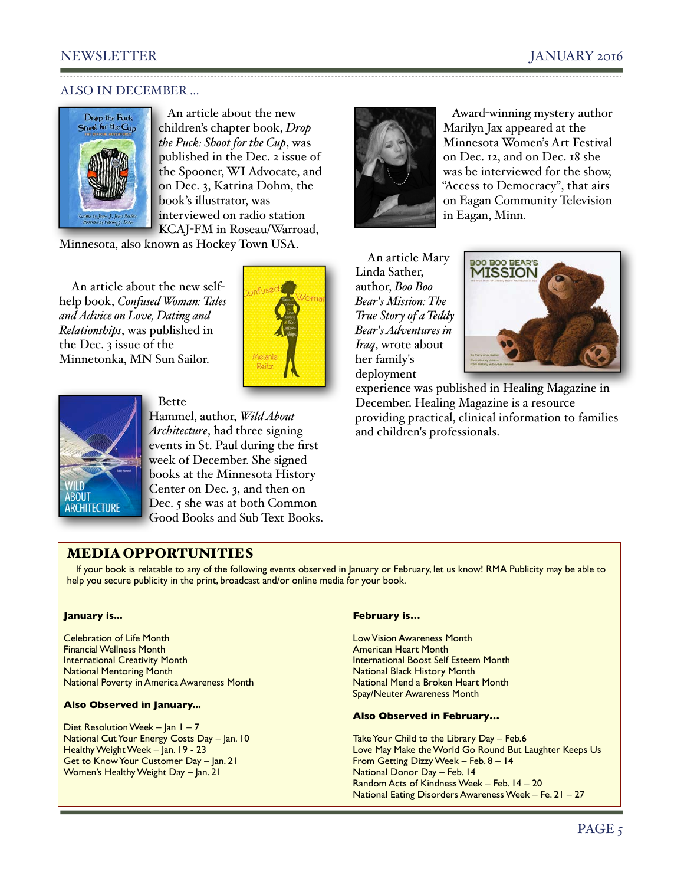#### NEWSLETTER JANUARY 2016

#### ALSO IN DECEMBER ...



 An article about the new children's chapter book, *Drop the Puck: Shoot for the Cup*, was published in the Dec. 2 issue of the Spooner, WI Advocate, and on Dec. 3, Katrina Dohm, the book's illustrator, was interviewed on radio station KCAJ-FM in Roseau/Warroad,

Minnesota, also known as Hockey Town USA.

Bette

An article about the new selfhelp book, *Confused Woman: Tales and Advice on Love, Dating and Relationships*, was published in the Dec. 3 issue of the Minnetonka, MN Sun Sailor.





Hammel, author, *Wild About Architecture*, had three signing events in St. Paul during the first week of December. She signed books at the Minnesota History Center on Dec. 3, and then on Dec. 5 she was at both Common Good Books and Sub Text Books.



 Award-winning mystery author Marilyn Jax appeared at the Minnesota Women's Art Festival on Dec. 12, and on Dec. 18 she was be interviewed for the show, "Access to Democracy", that airs on Eagan Community Television in Eagan, Minn.

An article Mary Linda Sather, author, *Boo Boo Bear's Mission: The True Story of a Teddy Bear's Adventures in Iraq*, wrote about her family's deployment



experience was published in [Healing Magazine](http://www.healingmagazine.org/book/issue-36/) in December. Healing Magazine is a resource providing practical, clinical information to families and children's professionals.

#### MEDIA OPPORTUNITIES

If your book is relatable to any of the following events observed in January or February, let us know! RMA Publicity may be able to help you secure publicity in the print, broadcast and/or online media for your book.

#### **January is...**

Celebration of Life Month Financial Wellness Month International Creativity Month National Mentoring Month National Poverty in America Awareness Month

#### **Also Observed in January...**

Diet Resolution Week – Jan  $1 - 7$ National Cut Your Energy Costs Day – Jan. 10 Healthy Weight Week – Jan. 19 - 23 Get to Know Your Customer Day – Jan. 21 Women's Healthy Weight Day - Jan. 21

#### **February is…**

Low Vision Awareness Month American Heart Month International Boost Self Esteem Month National Black History Month National Mend a Broken Heart Month Spay/Neuter Awareness Month

#### **Also Observed in February…**

Take Your Child to the Library Day - Feb.6 Love May Make the World Go Round But Laughter Keeps Us From Getting Dizzy Week – Feb. 8 – 14 National Donor Day – Feb. 14 Random Acts of Kindness Week – Feb. 14 – 20 National Eating Disorders Awareness Week – Fe. 21 – 27